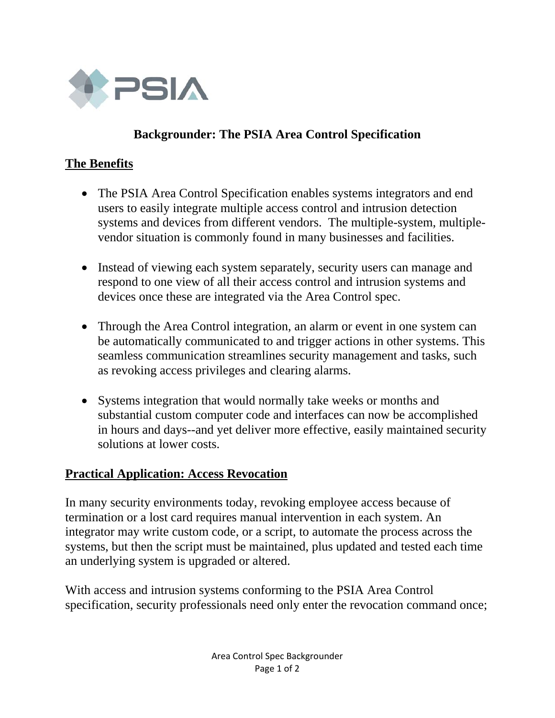

# **Backgrounder: The PSIA Area Control Specification**

## **The Benefits**

- The PSIA Area Control Specification enables systems integrators and end users to easily integrate multiple access control and intrusion detection systems and devices from different vendors. The multiple-system, multiplevendor situation is commonly found in many businesses and facilities.
- Instead of viewing each system separately, security users can manage and respond to one view of all their access control and intrusion systems and devices once these are integrated via the Area Control spec.
- Through the Area Control integration, an alarm or event in one system can be automatically communicated to and trigger actions in other systems. This seamless communication streamlines security management and tasks, such as revoking access privileges and clearing alarms.
- Systems integration that would normally take weeks or months and substantial custom computer code and interfaces can now be accomplished in hours and days--and yet deliver more effective, easily maintained security solutions at lower costs.

### **Practical Application: Access Revocation**

In many security environments today, revoking employee access because of termination or a lost card requires manual intervention in each system. An integrator may write custom code, or a script, to automate the process across the systems, but then the script must be maintained, plus updated and tested each time an underlying system is upgraded or altered.

With access and intrusion systems conforming to the PSIA Area Control specification, security professionals need only enter the revocation command once;